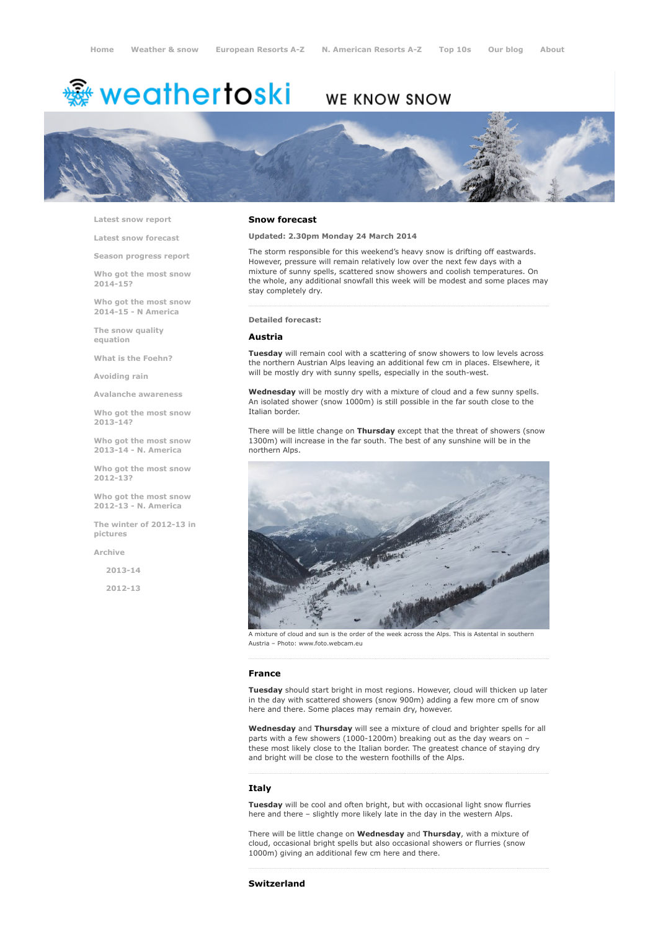# <sup>鑫</sup> weathertoski

# WE KNOW SNOW



Latest snow [report](http://www.weathertoski.co.uk/weather-snow/latest-snow-report/)

Latest snow [forecast](http://www.weathertoski.co.uk/weather-snow/latest-snow-forecast/)

Season [progress](http://www.weathertoski.co.uk/weather-snow/season-progress-report/) report

Who got the most snow 2014-15?

Who got the most snow 2014-15 - N America

The snow quality [equation](http://www.weathertoski.co.uk/weather-snow/the-snow-quality-equation/)

What is the [Foehn?](http://www.weathertoski.co.uk/weather-snow/what-is-the-foehn/)

[Avoiding](http://www.weathertoski.co.uk/weather-snow/avoiding-rain/) rain

Avalanche [awareness](http://www.weathertoski.co.uk/weather-snow/avalanche-awareness/)

Who got the most snow 2013-14?

Who got the most snow 2013-14 - N. America

Who got the most snow 2012-13?

Who got the most snow 2012-13 - N. America

The winter of 2012-13 in pictures

[Archive](http://www.weathertoski.co.uk/weather-snow/archive/)

2013-14

2012-13

#### Snow forecast

#### Updated: 2.30pm Monday 24 March 2014

The storm responsible for this weekend's heavy snow is drifting off eastwards. However, pressure will remain relatively low over the next few days with a mixture of sunny spells, scattered snow showers and coolish temperatures. On the whole, any additional snowfall this week will be modest and some places may stay completely dry.

#### Detailed forecast:

## Austria

Tuesday will remain cool with a scattering of snow showers to low levels across the northern Austrian Alps leaving an additional few cm in places. Elsewhere, it will be mostly dry with sunny spells, especially in the south-west.

Wednesday will be mostly dry with a mixture of cloud and a few sunny spells. An isolated shower (snow 1000m) is still possible in the far south close to the Italian border.

There will be little change on Thursday except that the threat of showers (snow 1300m) will increase in the far south. The best of any sunshine will be in the northern Alps.



A mixture of cloud and sun is the order of the week across the Alps. This is Astental in southern Austria – Photo: www.foto.webcam.eu

#### France

Tuesday should start bright in most regions. However, cloud will thicken up later in the day with scattered showers (snow 900m) adding a few more cm of snow here and there. Some places may remain dry, however.

Wednesday and Thursday will see a mixture of cloud and brighter spells for all parts with a few showers (1000-1200m) breaking out as the day wears on these most likely close to the Italian border. The greatest chance of staying dry and bright will be close to the western foothills of the Alps.

### Italy

Tuesday will be cool and often bright, but with occasional light snow flurries here and there – slightly more likely late in the day in the western Alps.

There will be little change on Wednesday and Thursday, with a mixture of cloud, occasional bright spells but also occasional showers or flurries (snow 1000m) giving an additional few cm here and there.

# Switzerland